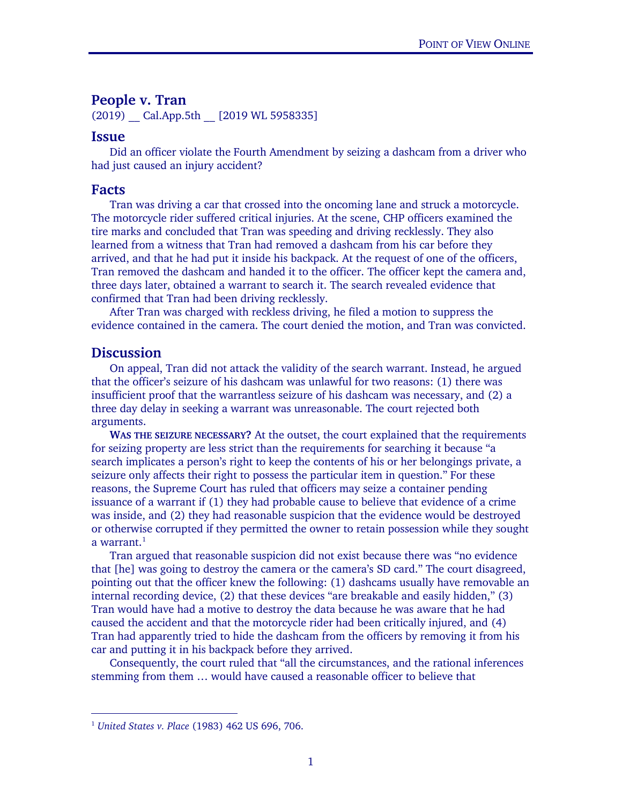## **People v. Tran**

 $(2019)$  Cal.App.5th  $[2019 \text{ WL } 5958335]$ 

## **Issue**

Did an officer violate the Fourth Amendment by seizing a dashcam from a driver who had just caused an injury accident?

## **Facts**

Tran was driving a car that crossed into the oncoming lane and struck a motorcycle. The motorcycle rider suffered critical injuries. At the scene, CHP officers examined the tire marks and concluded that Tran was speeding and driving recklessly. They also learned from a witness that Tran had removed a dashcam from his car before they arrived, and that he had put it inside his backpack. At the request of one of the officers, Tran removed the dashcam and handed it to the officer. The officer kept the camera and, three days later, obtained a warrant to search it. The search revealed evidence that confirmed that Tran had been driving recklessly.

After Tran was charged with reckless driving, he filed a motion to suppress the evidence contained in the camera. The court denied the motion, and Tran was convicted.

## **Discussion**

On appeal, Tran did not attack the validity of the search warrant. Instead, he argued that the officer's seizure of his dashcam was unlawful for two reasons: (1) there was insufficient proof that the warrantless seizure of his dashcam was necessary, and (2) a three day delay in seeking a warrant was unreasonable. The court rejected both arguments.

**WAS THE SEIZURE NECESSARY?** At the outset, the court explained that the requirements for seizing property are less strict than the requirements for searching it because "a search implicates a person's right to keep the contents of his or her belongings private, a seizure only affects their right to possess the particular item in question." For these reasons, the Supreme Court has ruled that officers may seize a container pending issuance of a warrant if (1) they had probable cause to believe that evidence of a crime was inside, and (2) they had reasonable suspicion that the evidence would be destroyed or otherwise corrupted if they permitted the owner to retain possession while they sought a warrant. $^1$  $^1$ 

Tran argued that reasonable suspicion did not exist because there was "no evidence that [he] was going to destroy the camera or the camera's SD card." The court disagreed, pointing out that the officer knew the following: (1) dashcams usually have removable an internal recording device, (2) that these devices "are breakable and easily hidden," (3) Tran would have had a motive to destroy the data because he was aware that he had caused the accident and that the motorcycle rider had been critically injured, and (4) Tran had apparently tried to hide the dashcam from the officers by removing it from his car and putting it in his backpack before they arrived.

Consequently, the court ruled that "all the circumstances, and the rational inferences stemming from them … would have caused a reasonable officer to believe that

<span id="page-0-0"></span> <sup>1</sup> *United States v. Place* (1983) 462 US 696, 706.